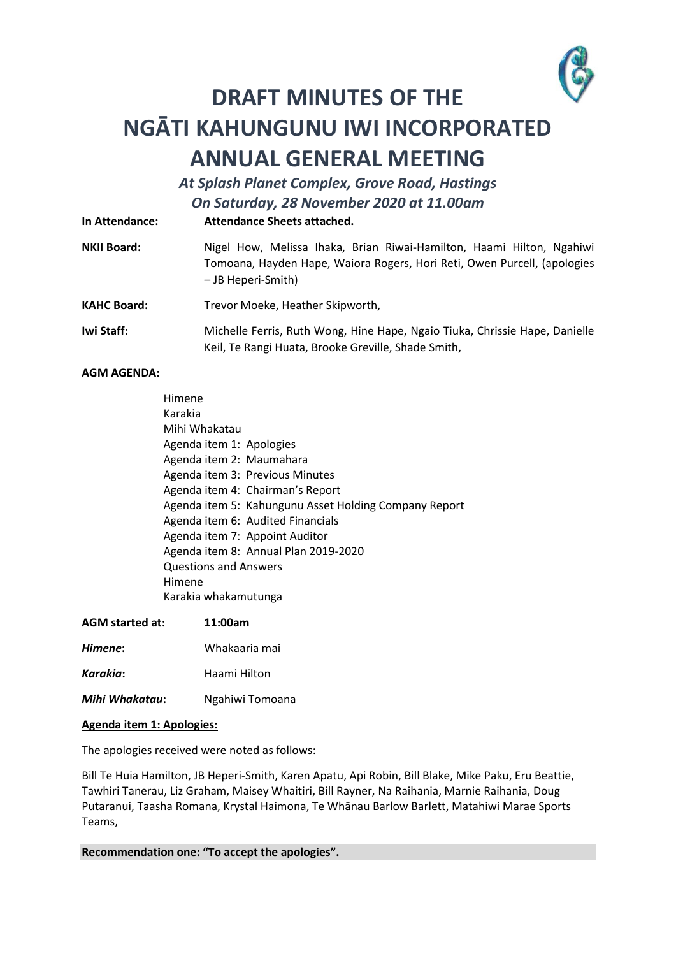

# **DRAFT MINUTES OF THE NGĀTI KAHUNGUNU IWI INCORPORATED ANNUAL GENERAL MEETING**

*At Splash Planet Complex, Grove Road, Hastings On Saturday, 28 November 2020 at 11.00am*

| In Attendance:     | Attendance Sheets attached.                                                                                                                                             |  |
|--------------------|-------------------------------------------------------------------------------------------------------------------------------------------------------------------------|--|
| <b>NKII Board:</b> | Nigel How, Melissa Ihaka, Brian Riwai-Hamilton, Haami Hilton, Ngahiwi<br>Tomoana, Hayden Hape, Waiora Rogers, Hori Reti, Owen Purcell, (apologies<br>- JB Heperi-Smith) |  |
| <b>KAHC Board:</b> | Trevor Moeke, Heather Skipworth,                                                                                                                                        |  |
| Iwi Staff:         | Michelle Ferris, Ruth Wong, Hine Hape, Ngaio Tiuka, Chrissie Hape, Danielle<br>Keil, Te Rangi Huata, Brooke Greville, Shade Smith,                                      |  |

# **AGM AGENDA:**

| Himene                                                |  |  |
|-------------------------------------------------------|--|--|
| Karakia                                               |  |  |
| Mihi Whakatau                                         |  |  |
| Agenda item 1: Apologies                              |  |  |
| Agenda item 2: Maumahara                              |  |  |
| Agenda item 3: Previous Minutes                       |  |  |
| Agenda item 4: Chairman's Report                      |  |  |
| Agenda item 5: Kahungunu Asset Holding Company Report |  |  |
| Agenda item 6: Audited Financials                     |  |  |
| Agenda item 7: Appoint Auditor                        |  |  |
| Agenda item 8: Annual Plan 2019-2020                  |  |  |
| <b>Questions and Answers</b>                          |  |  |
| Himene                                                |  |  |
| Karakia whakamutunga                                  |  |  |

| <b>AGM</b> started at: | 11:00am       |  |
|------------------------|---------------|--|
| Himene:                | Whakaaria mai |  |

- **Karakia:** Haami Hilton
- *Mihi Whakatau***:** Ngahiwi Tomoana

# **Agenda item 1: Apologies:**

The apologies received were noted as follows:

Bill Te Huia Hamilton, JB Heperi-Smith, Karen Apatu, Api Robin, Bill Blake, Mike Paku, Eru Beattie, Tawhiri Tanerau, Liz Graham, Maisey Whaitiri, Bill Rayner, Na Raihania, Marnie Raihania, Doug Putaranui, Taasha Romana, Krystal Haimona, Te Whānau Barlow Barlett, Matahiwi Marae Sports Teams,

**Recommendation one: "To accept the apologies".**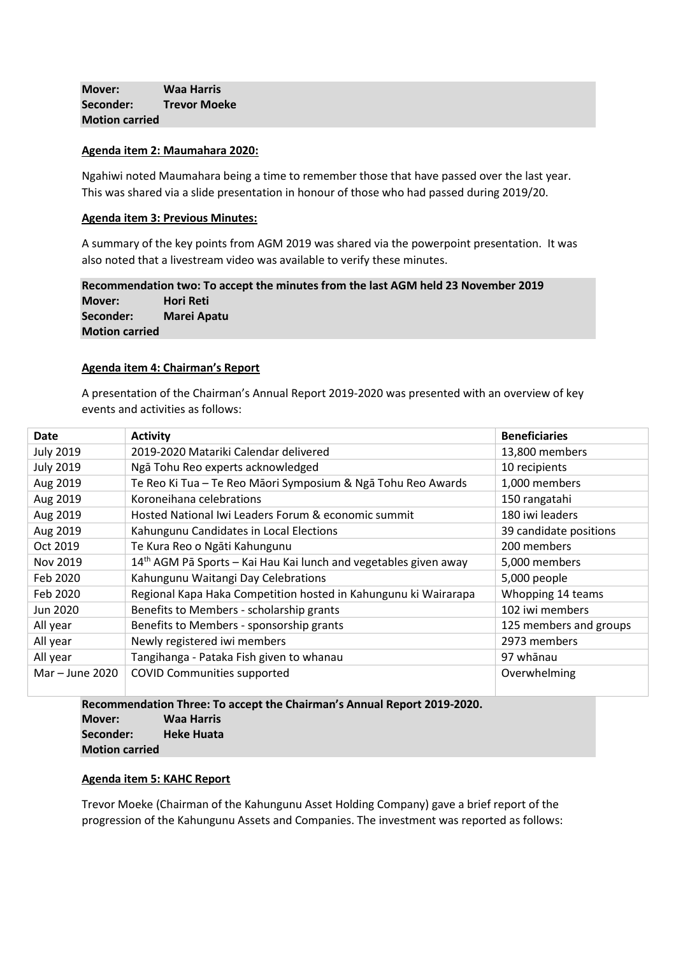**Mover: Waa Harris Seconder: Trevor Moeke Motion carried**

### **Agenda item 2: Maumahara 2020:**

Ngahiwi noted Maumahara being a time to remember those that have passed over the last year. This was shared via a slide presentation in honour of those who had passed during 2019/20.

#### **Agenda item 3: Previous Minutes:**

A summary of the key points from AGM 2019 was shared via the powerpoint presentation. It was also noted that a livestream video was available to verify these minutes.

**Recommendation two: To accept the minutes from the last AGM held 23 November 2019 Mover: Hori Reti Seconder: Marei Apatu Motion carried**

# **Agenda item 4: Chairman's Report**

A presentation of the Chairman's Annual Report 2019-2020 was presented with an overview of key events and activities as follows:

| Date              | <b>Activity</b>                                                              | <b>Beneficiaries</b>   |
|-------------------|------------------------------------------------------------------------------|------------------------|
| <b>July 2019</b>  | 2019-2020 Matariki Calendar delivered                                        | 13,800 members         |
| <b>July 2019</b>  | Ngā Tohu Reo experts acknowledged                                            | 10 recipients          |
| Aug 2019          | Te Reo Ki Tua - Te Reo Māori Symposium & Ngā Tohu Reo Awards                 | 1,000 members          |
| Aug 2019          | Koroneihana celebrations                                                     | 150 rangatahi          |
| Aug 2019          | Hosted National Iwi Leaders Forum & economic summit                          | 180 iwi leaders        |
| Aug 2019          | Kahungunu Candidates in Local Elections                                      | 39 candidate positions |
| Oct 2019          | Te Kura Reo o Ngāti Kahungunu                                                | 200 members            |
| Nov 2019          | 14 <sup>th</sup> AGM Pā Sports - Kai Hau Kai lunch and vegetables given away | 5,000 members          |
| Feb 2020          | Kahungunu Waitangi Day Celebrations                                          | 5,000 people           |
| Feb 2020          | Regional Kapa Haka Competition hosted in Kahungunu ki Wairarapa              | Whopping 14 teams      |
| Jun 2020          | Benefits to Members - scholarship grants                                     | 102 iwi members        |
| All year          | Benefits to Members - sponsorship grants                                     | 125 members and groups |
| All year          | Newly registered iwi members                                                 | 2973 members           |
| All year          | Tangihanga - Pataka Fish given to whanau                                     | 97 whānau              |
| Mar $-$ June 2020 | <b>COVID Communities supported</b>                                           | Overwhelming           |

**Recommendation Three: To accept the Chairman's Annual Report 2019-2020. Mover: Waa Harris Seconder: Heke Huata Motion carried**

#### **Agenda item 5: KAHC Report**

Trevor Moeke (Chairman of the Kahungunu Asset Holding Company) gave a brief report of the progression of the Kahungunu Assets and Companies. The investment was reported as follows: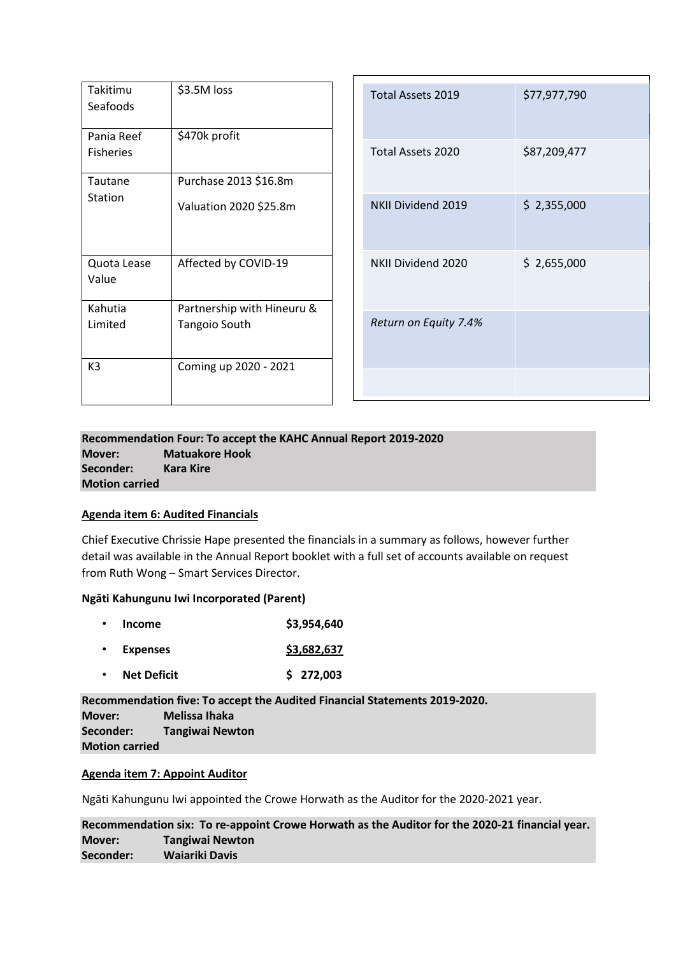| Takitimu<br>Seafoods           | \$3.5M loss                                        |
|--------------------------------|----------------------------------------------------|
| Pania Reef<br><b>Fisheries</b> | \$470k profit                                      |
| Tautane<br>Station             | Purchase 2013 \$16.8m<br>Valuation 2020 \$25.8m    |
| Quota Lease<br>Value           | Affected by COVID-19                               |
| Kahutia<br>Limited             | Partnership with Hineuru &<br><b>Tangoio South</b> |
| K <sub>3</sub>                 | Coming up 2020 - 2021                              |

| Total Assets 2019        | \$77,977,790 |
|--------------------------|--------------|
| <b>Total Assets 2020</b> | \$87,209,477 |
| NKII Dividend 2019       | \$2,355,000  |
| NKII Dividend 2020       | \$2,655,000  |
| Return on Equity 7.4%    |              |
|                          |              |

# **Recommendation Four: To accept the KAHC Annual Report 2019-2020 Mover: Matuakore Hook Seconder: Kara Kire Motion carried**

# **Agenda item 6: Audited Financials**

Chief Executive Chrissie Hape presented the financials in a summary as follows, however further detail was available in the Annual Report booklet with a full set of accounts available on request from Ruth Wong – Smart Services Director.

# **Ngāti Kahungunu Iwi Incorporated (Parent)**

| Income          | \$3,954,640 |
|-----------------|-------------|
| <b>Expenses</b> | \$3,682,637 |

• **Net Deficit \$ 272,003**

**Recommendation five: To accept the Audited Financial Statements 2019-2020. Mover: Melissa Ihaka Seconder: Tangiwai Newton Motion carried**

# **Agenda item 7: Appoint Auditor**

Ngāti Kahungunu Iwi appointed the Crowe Horwath as the Auditor for the 2020-2021 year.

**Recommendation six: To re-appoint Crowe Horwath as the Auditor for the 2020-21 financial year. Mover: Tangiwai Newton Seconder: Waiariki Davis**